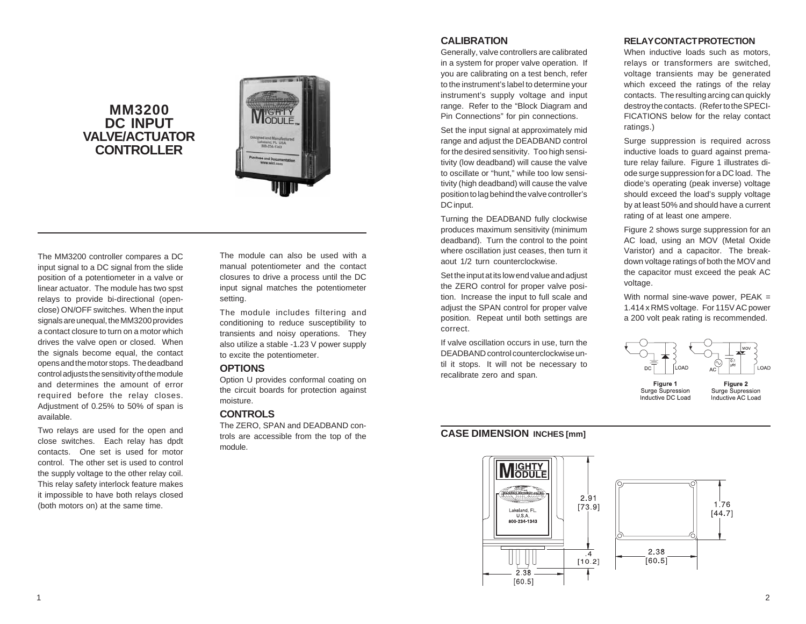# **MM3200 DC INPUT VALVE/ACTUATOR CONTROLLER**



The MM3200 controller compares a DC input signal to a DC signal from the slide position of a potentiometer in a valve or linear actuator. The module has two spst relays to provide bi-directional (openclose) ON/OFF switches. When the input signals are unequal, the MM3200 provides a contact closure to turn on a motor which drives the valve open or closed. When the signals become equal, the contact opens and the motor stops. The deadband control adjusts the sensitivity of the module and determines the amount of error required before the relay closes. Adjustment of 0.25% to 50% of span is available.

Two relays are used for the open and close switches. Each relay has dpdt contacts. One set is used for motor control. The other set is used to control the supply voltage to the other relay coil. This relay safety interlock feature makes it impossible to have both relays closed (both motors on) at the same time.

The module can also be used with a manual potentiometer and the contact closures to drive a process until the DC input signal matches the potentiometer setting.

The module includes filtering and conditioning to reduce susceptibility to transients and noisy operations. They also utilize a stable -1.23 V power supply to excite the potentiometer.

### **OPTIONS**

Option U provides conformal coating on the circuit boards for protection against moisture.

#### **CONTROLS**

The ZERO, SPAN and DEADBAND controls are accessible from the top of the module.

### **CALIBRATION**

Generally, valve controllers are calibrated in a system for proper valve operation. If you are calibrating on a test bench, refer to the instrument's label to determine your instrument's supply voltage and input range. Refer to the "Block Diagram and Pin Connections" for pin connections.

Set the input signal at approximately mid range and adjust the DEADBAND control for the desired sensitivity. Too high sensitivity (low deadband) will cause the valve to oscillate or "hunt," while too low sensitivity (high deadband) will cause the valve position to lag behind the valve controller's DC input.

Turning the DEADBAND fully clockwise produces maximum sensitivity (minimum deadband). Turn the control to the point where oscillation just ceases, then turn it aout 1/2 turn counterclockwise.

Set the input at its low end value and adjust the ZERO control for proper valve position. Increase the input to full scale and adjust the SPAN control for proper valve position. Repeat until both settings are correct.

If valve oscillation occurs in use, turn the DEADBAND control counterclockwise until it stops. It will not be necessary to recalibrate zero and span.

## **CASE DIMENSION INCHES [mm]**



#### **RELAY CONTACT PROTECTION**

When inductive loads such as motors. relays or transformers are switched, voltage transients may be generated which exceed the ratings of the relay contacts. The resulting arcing can quickly destroy the contacts. (Refer to the SPECI-FICATIONS below for the relay contact ratings.)

Surge suppression is required across inductive loads to guard against premature relay failure. Figure 1 illustrates diode surge suppression for a DC load. The diode's operating (peak inverse) voltage should exceed the load's supply voltage by at least 50% and should have a current rating of at least one ampere.

Figure 2 shows surge suppression for an AC load, using an MOV (Metal Oxide Varistor) and a capacitor. The breakdown voltage ratings of both the MOV and the capacitor must exceed the peak AC voltage.

With normal sine-wave power, PEAK = 1.414 x RMS voltage. For 115V AC power a 200 volt peak rating is recommended.



Surge Supression Inductive DC Load Surge Supression Inductive AC Load